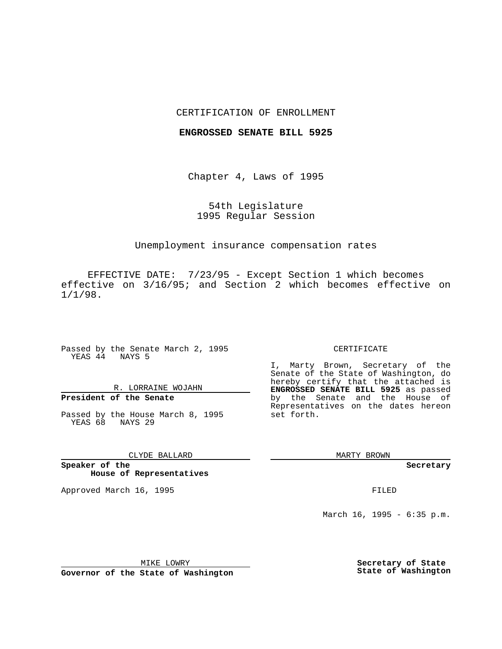#### CERTIFICATION OF ENROLLMENT

#### **ENGROSSED SENATE BILL 5925**

Chapter 4, Laws of 1995

## 54th Legislature 1995 Regular Session

### Unemployment insurance compensation rates

EFFECTIVE DATE: 7/23/95 - Except Section 1 which becomes effective on 3/16/95; and Section 2 which becomes effective on 1/1/98.

Passed by the Senate March 2, 1995 YEAS 44 NAYS 5

## R. LORRAINE WOJAHN

# **President of the Senate**

Passed by the House March 8, 1995 YEAS 68 NAYS 29

#### CLYDE BALLARD

**Speaker of the House of Representatives**

Approved March 16, 1995 FILED

#### CERTIFICATE

I, Marty Brown, Secretary of the Senate of the State of Washington, do hereby certify that the attached is **ENGROSSED SENATE BILL 5925** as passed by the Senate and the House of Representatives on the dates hereon set forth.

MARTY BROWN

**Secretary**

March 16, 1995 - 6:35 p.m.

MIKE LOWRY **Governor of the State of Washington** **Secretary of State State of Washington**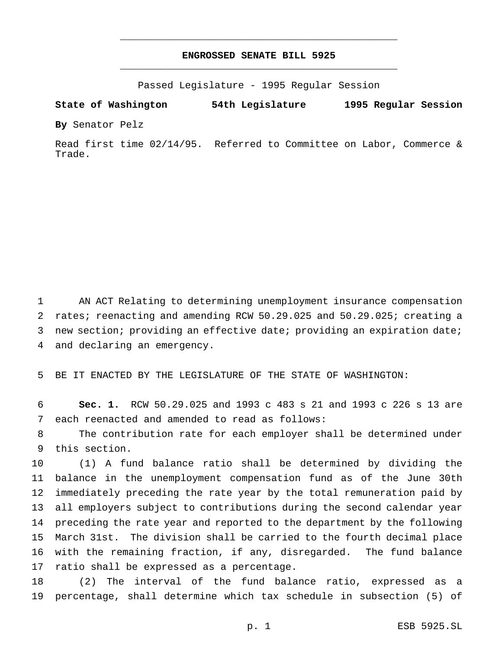## **ENGROSSED SENATE BILL 5925** \_\_\_\_\_\_\_\_\_\_\_\_\_\_\_\_\_\_\_\_\_\_\_\_\_\_\_\_\_\_\_\_\_\_\_\_\_\_\_\_\_\_\_\_\_\_\_

\_\_\_\_\_\_\_\_\_\_\_\_\_\_\_\_\_\_\_\_\_\_\_\_\_\_\_\_\_\_\_\_\_\_\_\_\_\_\_\_\_\_\_\_\_\_\_

Passed Legislature - 1995 Regular Session

**State of Washington 54th Legislature 1995 Regular Session**

**By** Senator Pelz

Read first time 02/14/95. Referred to Committee on Labor, Commerce & Trade.

 AN ACT Relating to determining unemployment insurance compensation rates; reenacting and amending RCW 50.29.025 and 50.29.025; creating a new section; providing an effective date; providing an expiration date; and declaring an emergency.

BE IT ENACTED BY THE LEGISLATURE OF THE STATE OF WASHINGTON:

 **Sec. 1.** RCW 50.29.025 and 1993 c 483 s 21 and 1993 c 226 s 13 are each reenacted and amended to read as follows:

 The contribution rate for each employer shall be determined under this section.

 (1) A fund balance ratio shall be determined by dividing the balance in the unemployment compensation fund as of the June 30th immediately preceding the rate year by the total remuneration paid by all employers subject to contributions during the second calendar year preceding the rate year and reported to the department by the following March 31st. The division shall be carried to the fourth decimal place with the remaining fraction, if any, disregarded. The fund balance ratio shall be expressed as a percentage.

 (2) The interval of the fund balance ratio, expressed as a percentage, shall determine which tax schedule in subsection (5) of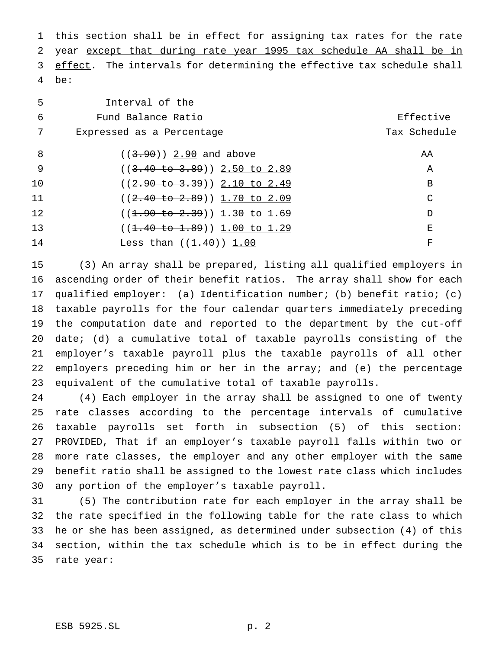this section shall be in effect for assigning tax rates for the rate year except that during rate year 1995 tax schedule AA shall be in 3 effect. The intervals for determining the effective tax schedule shall be:

| 5                 | Interval of the                          |              |
|-------------------|------------------------------------------|--------------|
| 6                 | Fund Balance Ratio                       | Effective    |
| 7                 | Expressed as a Percentage                | Tax Schedule |
| 8                 | $((3.90) )$ 2.90 and above               | AA           |
| -9                | $((3.40 \text{ to } 3.89))$ 2.50 to 2.89 | Α            |
| 10                | $((2.90 to 3.39))$ 2.10 to 2.49          | B            |
| 11                | $((2.40 \text{ to } 2.89))$ 1.70 to 2.09 | C            |
| $12 \overline{ }$ | $((1.90 to 2.39))$ 1.30 to 1.69          | D            |
| 13                | $((1.40 \text{ to } 1.89))$ 1.00 to 1.29 | Е            |
| 14                | Less than $((1.40))$ 1.00                | F            |

 (3) An array shall be prepared, listing all qualified employers in ascending order of their benefit ratios. The array shall show for each qualified employer: (a) Identification number; (b) benefit ratio; (c) taxable payrolls for the four calendar quarters immediately preceding the computation date and reported to the department by the cut-off date; (d) a cumulative total of taxable payrolls consisting of the employer's taxable payroll plus the taxable payrolls of all other employers preceding him or her in the array; and (e) the percentage equivalent of the cumulative total of taxable payrolls.

 (4) Each employer in the array shall be assigned to one of twenty rate classes according to the percentage intervals of cumulative taxable payrolls set forth in subsection (5) of this section: PROVIDED, That if an employer's taxable payroll falls within two or more rate classes, the employer and any other employer with the same benefit ratio shall be assigned to the lowest rate class which includes any portion of the employer's taxable payroll.

 (5) The contribution rate for each employer in the array shall be the rate specified in the following table for the rate class to which he or she has been assigned, as determined under subsection (4) of this section, within the tax schedule which is to be in effect during the rate year: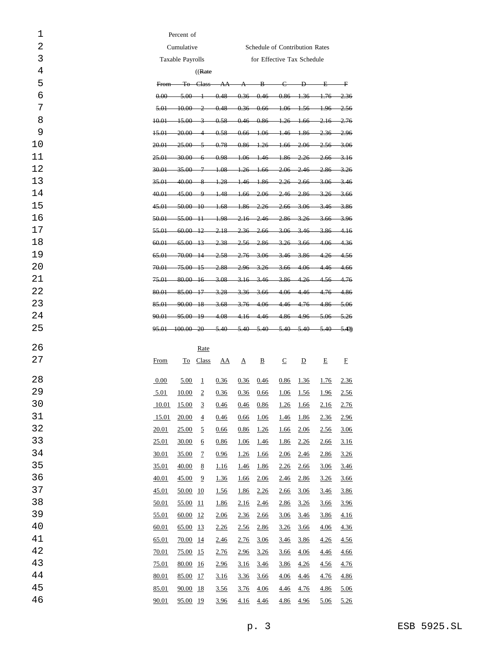| 1  | Percent of                                   |                        |                     |             |          |                            |             |                |                                                                                                |             |  |
|----|----------------------------------------------|------------------------|---------------------|-------------|----------|----------------------------|-------------|----------------|------------------------------------------------------------------------------------------------|-------------|--|
| 2  | Cumulative<br>Schedule of Contribution Rates |                        |                     |             |          |                            |             |                |                                                                                                |             |  |
| 3  | Taxable Payrolls                             |                        |                     |             |          | for Effective Tax Schedule |             |                |                                                                                                |             |  |
| 4  | ((Rate)                                      |                        |                     |             |          |                            |             |                |                                                                                                |             |  |
| 5  | From-                                        |                        | <del>To Class</del> |             |          |                            |             |                | $AA \quad A \quad B \quad C \quad D \quad E \quad F$                                           |             |  |
| 6  |                                              |                        |                     |             |          |                            |             |                | $0.00$ $5.00$ 1 $0.48$ $0.36$ $0.46$ $0.86$ $1.36$ $1.76$ $2.36$                               |             |  |
| 7  | 5.01                                         |                        |                     |             |          |                            |             |                | $-10.00$ 2 $-0.48$ $-0.36$ $-0.66$ $-1.06$ $-1.56$ $-1.96$ $-2.56$                             |             |  |
| 8  | <del>10.01</del>                             |                        |                     |             |          |                            |             |                | $-15.00 \quad 3 \quad 0.58 \quad 0.46 \quad 0.86 \quad 1.26 \quad 1.66 \quad 2.16 \quad 2.76$  |             |  |
| 9  | $+5.0+$                                      | $-20.00 - 4$           |                     |             |          |                            |             |                | $0.58$ $0.66$ $1.06$ $1.46$ $1.86$ $2.36$ $2.96$                                               |             |  |
| 10 | 20.01                                        |                        |                     |             |          |                            |             |                | $25.00 \quad 5 \quad 0.78 \quad 0.86 \quad 1.26 \quad 1.66 \quad 2.06 \quad 2.56 \quad 3.06$   |             |  |
| 11 | $25.01-$                                     |                        |                     |             |          |                            |             |                | $-30.00 \quad 6 \quad -0.98 \quad 1.06 \quad 1.46 \quad 1.86 \quad 2.26 \quad 2.66 \quad 3.16$ |             |  |
| 12 | $30.01 -$                                    |                        |                     |             |          |                            |             |                | $-35.00$ 7 $-1.08$ $-1.26$ $-1.66$ $-2.06$ $-2.46$ $-2.86$ $-3.26$                             |             |  |
| 13 |                                              |                        |                     |             |          |                            |             |                | 35.01 40.00 8 1.28 1.46 1.86 2.26 2.66 3.06 3.46                                               |             |  |
| 14 |                                              |                        |                     |             |          |                            |             |                | 40.01 45.00 9 1.48 1.66 2.06 2.46 2.86 3.26 3.66                                               |             |  |
| 15 |                                              |                        |                     |             |          |                            |             |                | 45.01 50.00 10 1.68 1.86 2.26 2.66 3.06 3.46 3.86                                              |             |  |
| 16 |                                              |                        |                     |             |          |                            |             |                | 50.01 55.00 11 1.98 2.16 2.46 2.86 3.26 3.66 3.96                                              |             |  |
| 17 |                                              |                        |                     |             |          |                            |             |                | 55.01 60.00 12 2.18 2.36 2.66 3.06 3.46 3.86 4.16                                              |             |  |
| 18 |                                              |                        |                     |             |          |                            |             |                | 60.01 65.00 13 2.38 2.56 2.86 3.26 3.66 4.06 4.36                                              |             |  |
| 19 |                                              |                        |                     |             |          |                            |             |                | 65.01 70.00 14 2.58 2.76 3.06 3.46 3.86 4.26 4.56                                              |             |  |
| 20 | 70.01                                        |                        |                     |             |          |                            |             |                | $-75.00$ $15$ $2.88$ $2.96$ $3.26$ $3.66$ $4.06$ $4.46$ $4.66$                                 |             |  |
| 21 |                                              |                        |                     |             |          |                            |             |                | 75.01 80.00 16 3.08 3.16 3.46 3.86 4.26 4.56 4.76                                              |             |  |
| 22 |                                              |                        |                     |             |          |                            |             |                | 80.01 85.00 17 3.28 3.36 3.66 4.06 4.46 4.76 4.86                                              |             |  |
| 23 | $85.01$ $90.00$ $18$                         |                        |                     |             |          |                            |             |                | $-3.68$ $-3.76$ $-4.06$ $-4.46$ $-4.76$ $-4.86$ $-5.06$                                        |             |  |
| 24 |                                              |                        |                     |             |          |                            |             |                | 90.01 95.00 19 4.08 4.16 4.46 4.86 4.96 5.06 5.26                                              |             |  |
| 25 |                                              |                        |                     |             |          |                            |             |                | 95.01 100.00 20 5.40 5.40 5.40 5.40 5.40 5.40 5.40                                             |             |  |
| 26 |                                              |                        | Rate                |             |          |                            |             |                |                                                                                                |             |  |
| 27 | From                                         |                        | To Class            | <u>AA</u>   | $\Delta$ | $\overline{B}$             | $\subseteq$ | $\overline{D}$ | E                                                                                              | E           |  |
| 28 | 0.00                                         | 5.00                   | 1                   | 0.36        | 0.36     | 0.46                       | 0.86        | <u>1.36</u>    | <u>1.76</u>                                                                                    | <u>2.36</u> |  |
| 29 | <u>5.01</u>                                  | <u>10.00</u>           | $\overline{2}$      | 0.36        | 0.36     | 0.66                       | 1.06        | <u>1.56</u>    | <u>1.96</u>                                                                                    | 2.56        |  |
| 30 | 10.01                                        | 15.00                  | $\overline{3}$      | 0.46        | 0.46     | 0.86                       | 1.26        | 1.66           | 2.16                                                                                           | 2.76        |  |
| 31 | 15.01                                        | 20.00                  | $\overline{4}$      | 0.46        | 0.66     | 1.06                       | 1.46        | 1.86           | 2.36                                                                                           | 2.96        |  |
| 32 | 20.01                                        | 25.00                  | $\overline{2}$      | 0.66        | 0.86     | 1.26                       | 1.66        | 2.06           | 2.56                                                                                           | 3.06        |  |
| 33 | 25.01                                        | 30.00                  | $\underline{6}$     | 0.86        | 1.06     | 1.46                       | 1.86        | 2.26           | 2.66                                                                                           | 3.16        |  |
| 34 | 30.01                                        | 35.00                  | $\overline{1}$      | 0.96        | 1.26     | 1.66                       | 2.06        | 2.46           | 2.86                                                                                           | 3.26        |  |
| 35 | 35.01                                        | 40.00                  | $\underline{8}$     | <u>1.16</u> | 1.46     | 1.86                       | 2.26        | 2.66           | 3.06                                                                                           | 3.46        |  |
| 36 | 40.01                                        | 45.00                  | $\overline{9}$      | 1.36        | 1.66     | 2.06                       | 2.46        | 2.86           | 3.26                                                                                           | <u>3.66</u> |  |
| 37 | 45.01                                        | 50.00 10               |                     | 1.56        | 1.86     | 2.26                       | 2.66        | 3.06           | 3.46                                                                                           | 3.86        |  |
| 38 | 50.01                                        | 55.00 11               |                     | 1.86        | 2.16     | 2.46                       | 2.86        | 3.26           | 3.66                                                                                           | 3.96        |  |
| 39 | 55.01                                        | $\underline{60.00}$ 12 |                     | 2.06        | 2.36     | 2.66                       | 3.06        | 3.46           | 3.86                                                                                           | 4.16        |  |
| 40 | 60.01                                        | 65.00 13               |                     | 2.26        | 2.56     | 2.86                       | 3.26        | 3.66           | 4.06                                                                                           | 4.36        |  |
| 41 | 65.01                                        | 70.00 14               |                     | 2.46        | 2.76     | 3.06                       | 3.46        | 3.86           | 4.26                                                                                           | <u>4.56</u> |  |
| 42 | 70.01                                        | 75.00 15               |                     | 2.76        | 2.96     | 3.26                       | 3.66        | 4.06           | 4.46                                                                                           | 4.66        |  |
| 43 | 75.01                                        | 80.00 16               |                     | 2.96        | 3.16     | 3.46                       | 3.86        | 4.26           | 4.56                                                                                           | 4.76        |  |
| 44 | 80.01                                        | 85.00 17               |                     | <u>3.16</u> | 3.36     | <u>3.66</u>                | 4.06        | 4.46           | 4.76                                                                                           | 4.86        |  |
| 45 | 85.01                                        | 90.00 18               |                     | 3.56        | 3.76     | 4.06                       | 4.46        | 4.76           | 4.86                                                                                           | 5.06        |  |
| 46 | 90.01                                        | 95.00 19               |                     | 3.96        | 4.16     | 4.46                       | 4.86        | 4.96           | 5.06                                                                                           | 5.26        |  |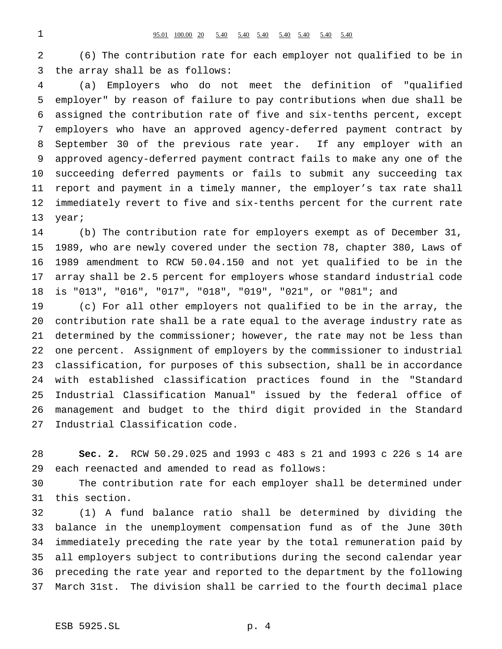(6) The contribution rate for each employer not qualified to be in the array shall be as follows:

 (a) Employers who do not meet the definition of "qualified employer" by reason of failure to pay contributions when due shall be assigned the contribution rate of five and six-tenths percent, except employers who have an approved agency-deferred payment contract by September 30 of the previous rate year. If any employer with an approved agency-deferred payment contract fails to make any one of the succeeding deferred payments or fails to submit any succeeding tax report and payment in a timely manner, the employer's tax rate shall immediately revert to five and six-tenths percent for the current rate year;

 (b) The contribution rate for employers exempt as of December 31, 1989, who are newly covered under the section 78, chapter 380, Laws of 1989 amendment to RCW 50.04.150 and not yet qualified to be in the array shall be 2.5 percent for employers whose standard industrial code is "013", "016", "017", "018", "019", "021", or "081"; and

 (c) For all other employers not qualified to be in the array, the contribution rate shall be a rate equal to the average industry rate as 21 determined by the commissioner; however, the rate may not be less than one percent. Assignment of employers by the commissioner to industrial classification, for purposes of this subsection, shall be in accordance with established classification practices found in the "Standard Industrial Classification Manual" issued by the federal office of management and budget to the third digit provided in the Standard Industrial Classification code.

 **Sec. 2.** RCW 50.29.025 and 1993 c 483 s 21 and 1993 c 226 s 14 are each reenacted and amended to read as follows:

 The contribution rate for each employer shall be determined under this section.

 (1) A fund balance ratio shall be determined by dividing the balance in the unemployment compensation fund as of the June 30th immediately preceding the rate year by the total remuneration paid by all employers subject to contributions during the second calendar year preceding the rate year and reported to the department by the following March 31st. The division shall be carried to the fourth decimal place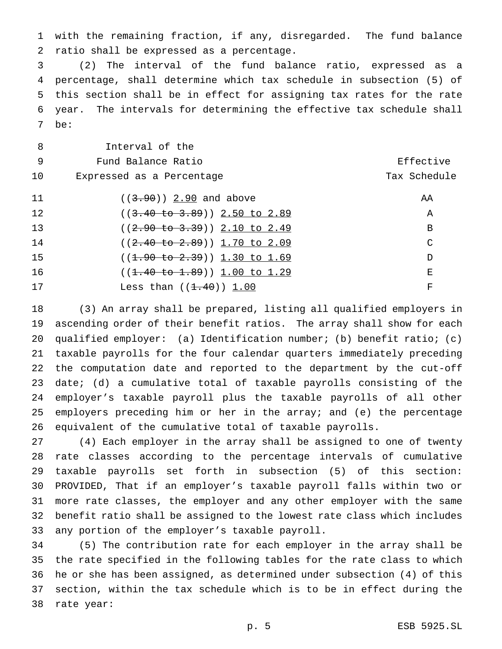with the remaining fraction, if any, disregarded. The fund balance ratio shall be expressed as a percentage.

 (2) The interval of the fund balance ratio, expressed as a percentage, shall determine which tax schedule in subsection (5) of this section shall be in effect for assigning tax rates for the rate year. The intervals for determining the effective tax schedule shall be:

| 8  | Interval of the                          |              |
|----|------------------------------------------|--------------|
| -9 | Fund Balance Ratio                       | Effective    |
| 10 | Expressed as a Percentage                | Tax Schedule |
| 11 | $((3.90) )$ 2.90 and above               | AA           |
| 12 | $((3.40 \text{ to } 3.89))$ 2.50 to 2.89 | Α            |
| 13 | $((2.90 to 3.39))$ 2.10 to 2.49          | B            |
| 14 | $((2.40 \text{ to } 2.89))$ 1.70 to 2.09 | C            |
| 15 | $((1.90 to 2.39))$ 1.30 to 1.69          | D            |
| 16 | $((1.40 \text{ to } 1.89))$ 1.00 to 1.29 | Е            |
| 17 | Less than $((1.40))$ 1.00                | F            |

 (3) An array shall be prepared, listing all qualified employers in ascending order of their benefit ratios. The array shall show for each qualified employer: (a) Identification number; (b) benefit ratio; (c) taxable payrolls for the four calendar quarters immediately preceding the computation date and reported to the department by the cut-off date; (d) a cumulative total of taxable payrolls consisting of the employer's taxable payroll plus the taxable payrolls of all other employers preceding him or her in the array; and (e) the percentage equivalent of the cumulative total of taxable payrolls.

 (4) Each employer in the array shall be assigned to one of twenty rate classes according to the percentage intervals of cumulative taxable payrolls set forth in subsection (5) of this section: PROVIDED, That if an employer's taxable payroll falls within two or more rate classes, the employer and any other employer with the same benefit ratio shall be assigned to the lowest rate class which includes any portion of the employer's taxable payroll.

 (5) The contribution rate for each employer in the array shall be the rate specified in the following tables for the rate class to which he or she has been assigned, as determined under subsection (4) of this section, within the tax schedule which is to be in effect during the rate year: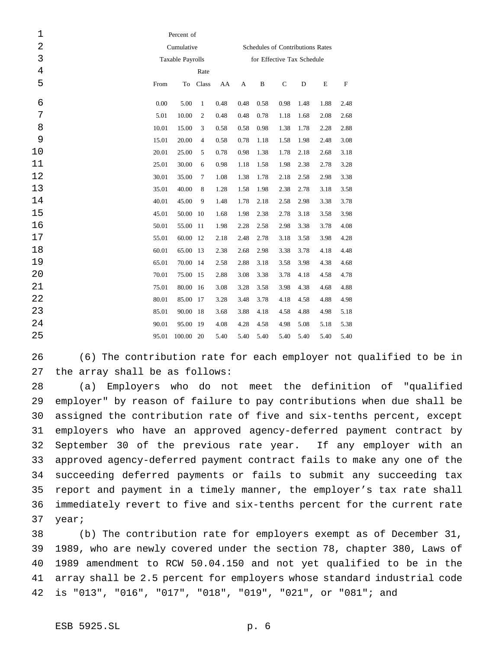| $\mathbf 1$    | Percent of       |           |              |      |                            |                                  |             |           |      |             |  |  |
|----------------|------------------|-----------|--------------|------|----------------------------|----------------------------------|-------------|-----------|------|-------------|--|--|
| $\overline{2}$ | Cumulative       |           |              |      |                            | Schedules of Contributions Rates |             |           |      |             |  |  |
| 3              | Taxable Payrolls |           |              |      | for Effective Tax Schedule |                                  |             |           |      |             |  |  |
| $\,4\,$        | Rate             |           |              |      |                            |                                  |             |           |      |             |  |  |
| 5              | From             | To        | Class        | AA   | A                          | $\, {\bf B}$                     | $\mathbf C$ | ${\rm D}$ | E    | $\mathbf F$ |  |  |
| 6              | 0.00             | 5.00      | $\mathbf{1}$ | 0.48 | 0.48                       | 0.58                             | 0.98        | 1.48      | 1.88 | 2.48        |  |  |
| 7              | 5.01             | 10.00     | 2            | 0.48 | 0.48                       | 0.78                             | 1.18        | 1.68      | 2.08 | 2.68        |  |  |
| 8              | 10.01            | 15.00     | 3            | 0.58 | 0.58                       | 0.98                             | 1.38        | 1.78      | 2.28 | 2.88        |  |  |
| 9              | 15.01            | 20.00     | 4            | 0.58 | 0.78                       | 1.18                             | 1.58        | 1.98      | 2.48 | 3.08        |  |  |
| 10             | 20.01            | 25.00     | 5            | 0.78 | 0.98                       | 1.38                             | 1.78        | 2.18      | 2.68 | 3.18        |  |  |
| 11             | 25.01            | 30.00     | 6            | 0.98 | 1.18                       | 1.58                             | 1.98        | 2.38      | 2.78 | 3.28        |  |  |
| 12             | 30.01            | 35.00     | 7            | 1.08 | 1.38                       | 1.78                             | 2.18        | 2.58      | 2.98 | 3.38        |  |  |
| 13             | 35.01            | 40.00     | 8            | 1.28 | 1.58                       | 1.98                             | 2.38        | 2.78      | 3.18 | 3.58        |  |  |
| 14             | 40.01            | 45.00     | 9            | 1.48 | 1.78                       | 2.18                             | 2.58        | 2.98      | 3.38 | 3.78        |  |  |
| 15             | 45.01            | 50.00     | 10           | 1.68 | 1.98                       | 2.38                             | 2.78        | 3.18      | 3.58 | 3.98        |  |  |
| 16             | 50.01            | 55.00     | 11           | 1.98 | 2.28                       | 2.58                             | 2.98        | 3.38      | 3.78 | 4.08        |  |  |
| 17             | 55.01            | 60.00     | 12           | 2.18 | 2.48                       | 2.78                             | 3.18        | 3.58      | 3.98 | 4.28        |  |  |
| 18             | 60.01            | 65.00     | 13           | 2.38 | 2.68                       | 2.98                             | 3.38        | 3.78      | 4.18 | 4.48        |  |  |
| 19             | 65.01            | 70.00     | -14          | 2.58 | 2.88                       | 3.18                             | 3.58        | 3.98      | 4.38 | 4.68        |  |  |
| 20             | 70.01            | 75.00     | 15           | 2.88 | 3.08                       | 3.38                             | 3.78        | 4.18      | 4.58 | 4.78        |  |  |
| 21             | 75.01            | 80.00     | -16          | 3.08 | 3.28                       | 3.58                             | 3.98        | 4.38      | 4.68 | 4.88        |  |  |
| 22             | 80.01            | 85.00     | 17           | 3.28 | 3.48                       | 3.78                             | 4.18        | 4.58      | 4.88 | 4.98        |  |  |
| 23             | 85.01            | 90.00     | -18          | 3.68 | 3.88                       | 4.18                             | 4.58        | 4.88      | 4.98 | 5.18        |  |  |
| 24             | 90.01            | 95.00     | 19           | 4.08 | 4.28                       | 4.58                             | 4.98        | 5.08      | 5.18 | 5.38        |  |  |
| 25             | 95.01            | 100.00 20 |              | 5.40 | 5.40                       | 5.40                             | 5.40        | 5.40      | 5.40 | 5.40        |  |  |

 (6) The contribution rate for each employer not qualified to be in the array shall be as follows:

 (a) Employers who do not meet the definition of "qualified employer" by reason of failure to pay contributions when due shall be assigned the contribution rate of five and six-tenths percent, except employers who have an approved agency-deferred payment contract by September 30 of the previous rate year. If any employer with an approved agency-deferred payment contract fails to make any one of the succeeding deferred payments or fails to submit any succeeding tax report and payment in a timely manner, the employer's tax rate shall immediately revert to five and six-tenths percent for the current rate year;

 (b) The contribution rate for employers exempt as of December 31, 1989, who are newly covered under the section 78, chapter 380, Laws of 1989 amendment to RCW 50.04.150 and not yet qualified to be in the array shall be 2.5 percent for employers whose standard industrial code is "013", "016", "017", "018", "019", "021", or "081"; and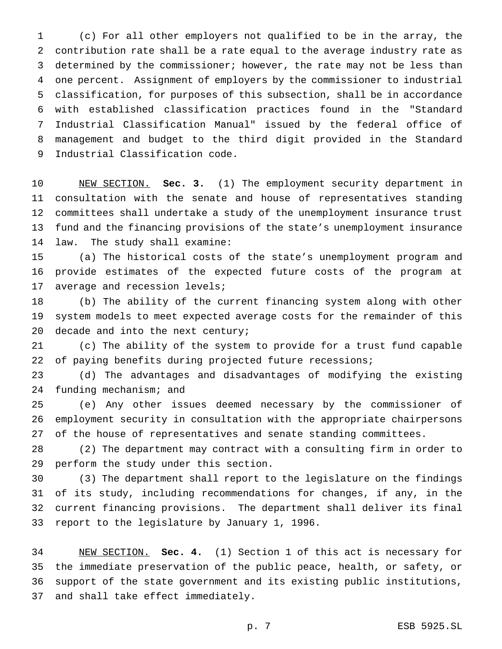(c) For all other employers not qualified to be in the array, the contribution rate shall be a rate equal to the average industry rate as determined by the commissioner; however, the rate may not be less than one percent. Assignment of employers by the commissioner to industrial classification, for purposes of this subsection, shall be in accordance with established classification practices found in the "Standard Industrial Classification Manual" issued by the federal office of management and budget to the third digit provided in the Standard Industrial Classification code.

 NEW SECTION. **Sec. 3.** (1) The employment security department in consultation with the senate and house of representatives standing committees shall undertake a study of the unemployment insurance trust fund and the financing provisions of the state's unemployment insurance law. The study shall examine:

 (a) The historical costs of the state's unemployment program and provide estimates of the expected future costs of the program at average and recession levels;

 (b) The ability of the current financing system along with other system models to meet expected average costs for the remainder of this 20 decade and into the next century;

 (c) The ability of the system to provide for a trust fund capable 22 of paying benefits during projected future recessions;

 (d) The advantages and disadvantages of modifying the existing funding mechanism; and

 (e) Any other issues deemed necessary by the commissioner of employment security in consultation with the appropriate chairpersons of the house of representatives and senate standing committees.

 (2) The department may contract with a consulting firm in order to perform the study under this section.

 (3) The department shall report to the legislature on the findings of its study, including recommendations for changes, if any, in the current financing provisions. The department shall deliver its final report to the legislature by January 1, 1996.

 NEW SECTION. **Sec. 4.** (1) Section 1 of this act is necessary for the immediate preservation of the public peace, health, or safety, or support of the state government and its existing public institutions, and shall take effect immediately.